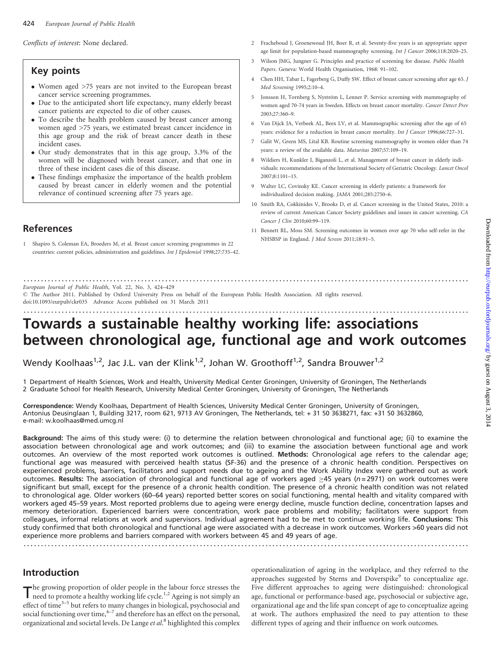Conflicts of interest: None declared.

# Key points

- Women aged >75 years are not invited to the European breast cancer service screening programmes.
- Due to the anticipated short life expectancy, many elderly breast cancer patients are expected to die of other causes.
- To describe the health problem caused by breast cancer among women aged >75 years, we estimated breast cancer incidence in this age group and the risk of breast cancer death in these incident cases.
- Our study demonstrates that in this age group, 3.3% of the women will be diagnosed with breast cancer, and that one in three of these incident cases die of this disease.
- These findings emphasize the importance of the health problem caused by breast cancer in elderly women and the potential relevance of continued screening after 75 years age.
- References
- 1 Shapiro S, Coleman EA, Broeders M, et al. Breast cancer screening programmes in 22 countries: current policies, administration and guidelines. Int J Epidemiol 1998;27:735–42.
- 2 Fracheboud J, Groenewoud JH, Boer R, et al. Seventy-five years is an appropriate upper age limit for population-based mammography screening. Int J Cancer 2006;118:2020–25.
- 3 Wilson JMG, Jungner G. Principles and practice of screening for disease. Public Health Papers. Geneva: World Health Organisation, 1968: 91–102.
- Chen HH, Tabar L, Fagerberg G, Duffy SW. Effect of breast cancer screening after age 65. J Med Screening 1995;2:10–4.
- Jonsson H, Tornberg S, Nyström L, Lenner P. Service screening with mammography of women aged 70-74 years in Sweden. Effects on breast cancer mortality. Cancer Detect Prev 2003;27:360–9.
- 6 Van Dijck JA, Verbeek AL, Beex LV, et al. Mammographic screening after the age of 65 years: evidence for a reduction in breast cancer mortality. Int J Cancer 1996;66:727–31.
- 7 Galit W, Green MS, Lital KB. Routine screening mammography in women older than 74 years: a review of the available data. Maturitas 2007;57:109–19.
- 8 Wildiers H, Kunkler I, Biganzoli L, et al. Management of breast cancer in elderly individuals: recommendations of the International Society of Geriatric Oncology. Lancet Oncol 2007;8:1101–15.
- 9 Walter LC, Covinsky KE. Cancer screening in elderly patients: a framework for individualized decision making. JAMA 2001;285:2750–6.
- 10 Smith RA, Cokkinides V, Brooks D, et al. Cancer screening in the United States, 2010: a review of current American Cancer Society guidelines and issues in cancer screening. CA Cancer J Clin 2010;60:99–119.
- 11 Bennett RL, Moss SM. Screening outcomes in women over age 70 who self-refer in the NHSBSP in England. J Med Screen 2011;18:91–5.

................................................................................................................................. European Journal of Public Health, Vol. 22, No. 3, 424–429

- The Author 2011. Published by Oxford University Press on behalf of the European Public Health Association. All rights reserved. doi:10.1093/eurpub/ckr035 Advance Access published on 31 March 2011

# ................................................................................................................................. Towards a sustainable healthy working life: associations between chronological age, functional age and work outcomes

Wendy Koolhaas<sup>1,2</sup>, Jac J.L. van der Klink<sup>1,2</sup>, Johan W. Groothoff<sup>1,2</sup>, Sandra Brouwer<sup>1,2</sup>

1 Department of Health Sciences, Work and Health, University Medical Center Groningen, University of Groningen, The Netherlands 2 Graduate School for Health Research, University Medical Center Groningen, University of Groningen, The Netherlands

Correspondence: Wendy Koolhaas, Department of Health Sciences, University Medical Center Groningen, University of Groningen, Antonius Deusinglaan 1, Building 3217, room 621, 9713 AV Groningen, The Netherlands, tel: + 31 50 3638271, fax: +31 50 3632860, e-mail: w.koolhaas@med.umcg.nl

Background: The aims of this study were: (i) to determine the relation between chronological and functional age; (ii) to examine the association between chronological age and work outcomes; and (iii) to examine the association between functional age and work outcomes. An overview of the most reported work outcomes is outlined. Methods: Chronological age refers to the calendar age; functional age was measured with perceived health status (SF-36) and the presence of a chronic health condition. Perspectives on experienced problems, barriers, facilitators and support needs due to ageing and the Work Ability Index were gathered out as work outcomes. Results: The association of chronological and functional age of workers aged  $\geq$ 45 years (n=2971) on work outcomes were significant but small, except for the presence of a chronic health condition. The presence of a chronic health condition was not related to chronological age. Older workers (60–64 years) reported better scores on social functioning, mental health and vitality compared with workers aged 45–59 years. Most reported problems due to ageing were energy decline, muscle function decline, concentration lapses and memory deterioration. Experienced barriers were concentration, work pace problems and mobility; facilitators were support from colleagues, informal relations at work and supervisors. Individual agreement had to be met to continue working life. Conclusions: This study confirmed that both chronological and functional age were associated with a decrease in work outcomes. Workers >60 years did not experience more problems and barriers compared with workers between 45 and 49 years of age.

.................................................................................................................................

# Introduction

The growing proportion of older people in the labour force stresses the<br>need to promote a healthcare in the stress of the stresses the need to promote a healthy working life cycle.<sup>[1,2](#page-1064-0)</sup> Ageing is not simply an effect of time<sup>3-5</sup> but refers to many changes in biological, psychosocial and social functioning over time,  $4-7$  and therefore has an effect on the personal, organizational and societal levels. De Lange et al.<sup>[8](#page--1-0)</sup> highlighted this complex

operationalization of ageing in the workplace, and they referred to the approaches suggested by Sterns and Doverspike<sup>[9](#page--1-0)</sup> to conceptualize age. Five different approaches to ageing were distinguished: chronological age, functional or performance-based age, psychosocial or subjective age, organizational age and the life span concept of age to conceptualize ageing at work. The authors emphasized the need to pay attention to these different types of ageing and their influence on work outcomes.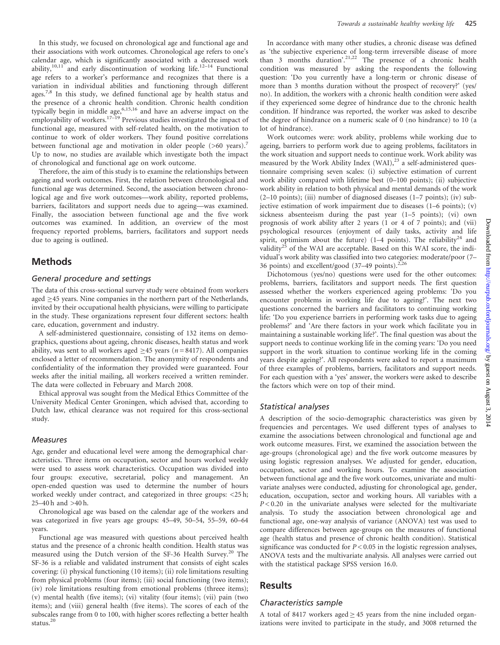In this study, we focused on chronological age and functional age and their associations with work outcomes. Chronological age refers to one's calendar age, which is significantly associated with a decreased work ability, $10,11$  and early discontinuation of working life.<sup>[12–14](#page--1-0)</sup> Functional age refers to a worker's performance and recognizes that there is a variation in individual abilities and functioning through different ages.<sup>[7,8](#page--1-0)</sup> In this study, we defined functional age by health status and the presence of a chronic health condition. Chronic health condition typically begin in middle age,<sup>[6](#page--1-0),[15](#page--1-0),[16](#page--1-0)</sup> and have an adverse impact on the employability of workers.<sup>[17–19](#page--1-0)</sup> Previous studies investigated the impact of functional age, measured with self-related health, on the motivation to continue to work of older workers. They found positive correlations between functional age and motivation in older people  $(>60 \text{ years})$ . Up to now, no studies are available which investigate both the impact of chronological and functional age on work outcome.

Therefore, the aim of this study is to examine the relationships between ageing and work outcomes. First, the relation between chronological and functional age was determined. Second, the association between chronological age and five work outcomes—work ability, reported problems, barriers, facilitators and support needs due to ageing—was examined. Finally, the association between functional age and the five work outcomes was examined. In addition, an overview of the most frequency reported problems, barriers, facilitators and support needs due to ageing is outlined.

### Methods

#### General procedure and settings

The data of this cross-sectional survey study were obtained from workers aged  $\geq$ 45 years. Nine companies in the northern part of the Netherlands, invited by their occupational health physicians, were willing to participate in the study. These organizations represent four different sectors: health care, education, government and industry.

A self-administered questionnaire, consisting of 132 items on demographics, questions about ageing, chronic diseases, health status and work ability, was sent to all workers aged  $\geq$ 45 years (*n* = 8417). All companies enclosed a letter of recommendation. The anonymity of respondents and confidentiality of the information they provided were guaranteed. Four weeks after the initial mailing, all workers received a written reminder. The data were collected in February and March 2008.

Ethical approval was sought from the Medical Ethics Committee of the University Medical Center Groningen, which advised that, according to Dutch law, ethical clearance was not required for this cross-sectional study.

#### **Measures**

Age, gender and educational level were among the demographical characteristics. Three items on occupation, sector and hours worked weekly were used to assess work characteristics. Occupation was divided into four groups: executive, secretarial, policy and management. An open-ended question was used to determine the number of hours worked weekly under contract, and categorized in three groups: <25 h; 25–40 h and >40 h.

Chronological age was based on the calendar age of the workers and was categorized in five years age groups: 45–49, 50–54, 55–59, 60–64 years.

Functional age was measured with questions about perceived health status and the presence of a chronic health condition. Health status was measured using the Dutch version of the SF-36 Health Survey.<sup>[20](#page--1-0)</sup> The SF-36 is a reliable and validated instrument that consists of eight scales covering: (i) physical functioning (10 items); (ii) role limitations resulting from physical problems (four items); (iii) social functioning (two items); (iv) role limitations resulting from emotional problems (threee items); (v) mental health (five items); (vi) vitality (four items); (vii) pain (two items); and (viii) general health (five items). The scores of each of the subscales range from 0 to 100, with higher scores reflecting a better health  $\mathrm{status.}^{20}$  $\mathrm{status.}^{20}$  $\mathrm{status.}^{20}$ 

In accordance with many other studies, a chronic disease was defined as 'the subjective experience of long-term irreversible disease of more than 3 months duration'.[21,22](#page--1-0) The presence of a chronic health condition was measured by asking the respondents the following question: 'Do you currently have a long-term or chronic disease of more than 3 months duration without the prospect of recovery?' (yes/ no). In addition, the workers with a chronic health condition were asked if they experienced some degree of hindrance due to the chronic health condition. If hindrance was reported, the worker was asked to describe the degree of hindrance on a numeric scale of 0 (no hindrance) to 10 (a lot of hindrance).

Work outcomes were: work ability, problems while working due to ageing, barriers to perform work due to ageing problems, facilitators in the work situation and support needs to continue work. Work ability was measured by the Work Ability Index  $(WAI)$ ,<sup>[23](#page--1-0)</sup> a self-administered questionnaire comprising seven scales: (i) subjective estimation of current work ability compared with lifetime best (0–100 points); (ii) subjective work ability in relation to both physical and mental demands of the work (2–10 points); (iii) number of diagnosed diseases (1–7 points); (iv) subjective estimation of work impairment due to diseases (1–6 points); (v) sickness absenteeism during the past year (1–5 points); (vi) own prognosis of work ability after 2 years (1 or 4 of 7 points); and (vii) psychological resources (enjoyment of daily tasks, activity and life spirit, optimism about the future) (1–4 points). The reliability<sup>[24](#page--1-0)</sup> and validity<sup>[25](#page--1-0)</sup> of the WAI are acceptable. Based on this WAI score, the individual's work ability was classified into two categories: moderate/poor (7– 36 points) and excellent/good  $(37-49 \text{ points})$ .<sup>[2](#page-1064-0)</sup>

Dichotomous (yes/no) questions were used for the other outcomes: problems, barriers, facilitators and support needs. The first question assessed whether the workers experienced ageing problems: 'Do you encounter problems in working life due to ageing?'. The next two questions concerned the barriers and facilitators to continuing working life: 'Do you experience barriers in performing work tasks due to ageing problems?' and 'Are there factors in your work which facilitate you in maintaining a sustainable working life?'. The final question was about the support needs to continue working life in the coming years: 'Do you need support in the work situation to continue working life in the coming years despite ageing?'. All respondents were asked to report a maximum of three examples of problems, barriers, facilitators and support needs. For each question with a 'yes' answer, the workers were asked to describe the factors which were on top of their mind.

#### Statistical analyses

A description of the socio-demographic characteristics was given by frequencies and percentages. We used different types of analyses to examine the associations between chronological and functional age and work outcome measures. First, we examined the association between the age-groups (chronological age) and the five work outcome measures by using logistic regression analyses. We adjusted for gender, education, occupation, sector and working hours. To examine the association between functional age and the five work outcomes, univariate and multivariate analyses were conducted, adjusting for chronological age, gender, education, occupation, sector and working hours. All variables with a  $P < 0.20$  in the univariate analyses were selected for the multivariate analysis. To study the association between chronological age and functional age, one-way analysis of variance (ANOVA) test was used to compare differences between age-groups on the measures of functional age (health status and presence of chronic health condition). Statistical significance was conducted for  $P < 0.05$  in the logistic regression analyses, ANOVA tests and the multivariate analysis. All analyses were carried out with the statistical package SPSS version 16.0.

### Results

#### Characteristics sample

A total of 8417 workers aged  $\geq$  45 years from the nine included organizations were invited to participate in the study, and 3008 returned the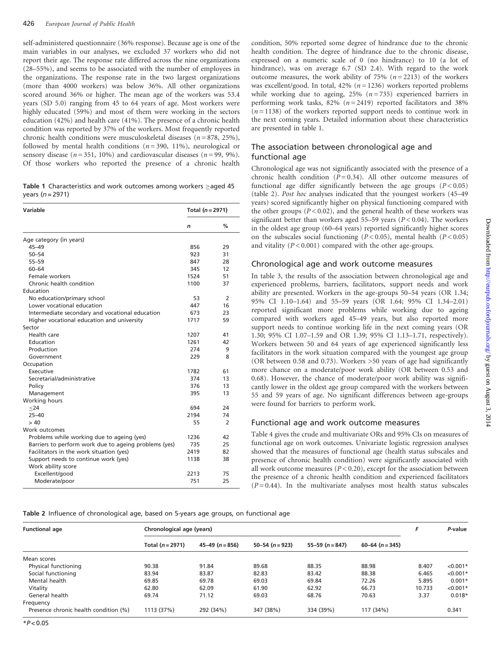self-administered questionnaire (36% response). Because age is one of the main variables in our analyses, we excluded 37 workers who did not report their age. The response rate differed across the nine organizations (28–55%), and seems to be associated with the number of employees in the organizations. The response rate in the two largest organizations (more than 4000 workers) was below 36%. All other organizations scored around 36% or higher. The mean age of the workers was 53.4 years (SD 5.0) ranging from 45 to 64 years of age. Most workers were highly educated (59%) and most of them were working in the sectors education (42%) and health care (41%). The presence of a chronic health condition was reported by 37% of the workers. Most frequently reported chronic health conditions were musculoskeletal diseases  $(n = 878, 25\%)$ , followed by mental health conditions  $(n = 390, 11\%)$ , neurological or sensory disease ( $n = 351$ , 10%) and cardiovascular diseases ( $n = 99$ , 9%). Of those workers who reported the presence of a chronic health

Table 1 Characteristics and work outcomes among workers  $\geq$ aged 45 years ( $n = 2971$ )

| Variable                                              | Total $(n = 2971)$ |    |  |
|-------------------------------------------------------|--------------------|----|--|
|                                                       | n                  | %  |  |
| Age category (in years)                               |                    |    |  |
| $45 - 49$                                             | 856                | 29 |  |
| $50 - 54$                                             | 923                | 31 |  |
| $55 - 59$                                             | 847                | 28 |  |
| $60 - 64$                                             | 345                | 12 |  |
| Female workers                                        | 1524               | 51 |  |
| Chronic health condition                              | 1100               | 37 |  |
| Education                                             |                    |    |  |
| No education/primary school                           | 53                 | 2  |  |
| Lower vocational education                            | 447                | 16 |  |
| Intermediate secondary and vocational education       | 673                | 23 |  |
| Higher vocational education and university            | 1717               | 59 |  |
| Sector                                                |                    |    |  |
| Health care                                           | 1207               | 41 |  |
| Education                                             | 1261               | 42 |  |
| Production                                            | 274                | 9  |  |
| Government                                            | 229                | 8  |  |
| Occupation                                            |                    |    |  |
| Executive                                             | 1782               | 61 |  |
| Secretarial/administrative                            | 374                | 13 |  |
| Policy                                                | 376                | 13 |  |
| Management                                            | 395                | 13 |  |
| Working hours                                         |                    |    |  |
| $24$                                                  | 694                | 24 |  |
| $25 - 40$                                             | 2194               | 74 |  |
| > 40                                                  | 55                 | 2  |  |
| Work outcomes                                         |                    |    |  |
| Problems while working due to ageing (yes)            | 1236               | 42 |  |
| Barriers to perform work due to ageing problems (yes) | 735                | 25 |  |
| Facilitators in the work situation (yes)              | 2419               | 82 |  |
| Support needs to continue work (yes)                  | 1138               | 38 |  |
| Work ability score<br>Excellent/good                  | 2213               | 75 |  |
| Moderate/poor                                         | 751                | 25 |  |
|                                                       |                    |    |  |

condition, 50% reported some degree of hindrance due to the chronic health condition. The degree of hindrance due to the chronic disease, expressed on a numeric scale of 0 (no hindrance) to 10 (a lot of hindrance), was on average 6.7 (SD 2.4). With regard to the work outcome measures, the work ability of 75%  $(n = 2213)$  of the workers was excellent/good. In total,  $42\%$  ( $n = 1236$ ) workers reported problems while working due to ageing,  $25\%$  ( $n = 735$ ) experienced barriers in performing work tasks,  $82\%$  ( $n = 2419$ ) reported facilitators and 38%  $(n=1138)$  of the workers reported support needs to continue work in the next coming years. Detailed information about these characteristics are presented in [table 1.](#page--1-0)

## The association between chronological age and functional age

Chronological age was not significantly associated with the presence of a chronic health condition  $(P=0.34)$ . All other outcome measures of functional age differ significantly between the age groups  $(P < 0.05)$ [\(table 2](#page--1-0)). Post hoc analyses indicated that the youngest workers (45–49 years) scored significantly higher on physical functioning compared with the other groups  $(P < 0.02)$ , and the general health of these workers was significant better than workers aged 55–59 years ( $P < 0.04$ ). The workers in the oldest age group (60–64 years) reported significantly higher scores on the subscales social functioning ( $P < 0.05$ ), mental health ( $P < 0.05$ ) and vitality  $(P < 0.001)$  compared with the other age-groups.

# Chronological age and work outcome measures

In [table 3](#page--1-0), the results of the association between chronological age and experienced problems, barriers, facilitators, support needs and work ability are presented. Workers in the age-groups 50–54 years (OR 1.34; 95% CI 1.10–1.64) and 55–59 years (OR 1.64; 95% CI 1.34–2.01) reported significant more problems while working due to ageing compared with workers aged 45–49 years, but also reported more support needs to continue working life in the next coming years (OR 1.30; 95% CI 1.07–1.59 and OR 1.39; 95% CI 1.13–1.71, respectively). Workers between 50 and 64 years of age experienced significantly less facilitators in the work situation compared with the youngest age group (OR between 0.58 and 0.73). Workers >50 years of age had significantly more chance on a moderate/poor work ability (OR between 0.53 and 0.68). However, the chance of moderate/poor work ability was significantly lower in the oldest age group compared with the workers between 55 and 59 years of age. No significant differences between age-groups were found for barriers to perform work.

# Functional age and work outcome measures

[Table 4](#page--1-0) gives the crude and multivariate ORs and 95% CIs on measures of functional age on work outcomes. Univariate logistic regression analyses showed that the measures of functional age (health status subscales and presence of chronic health condition) were significantly associated with all work outcome measures ( $P < 0.20$ ), except for the association between the presence of a chronic health condition and experienced facilitators  $(P=0.44)$ . In the multivariate analyses most health status subscales

Table 2 Influence of chronological age, based on 5-years age groups, on functional age

| <b>Functional age</b>                 | Chronological age (years) |                   |                     |                     |                     | F      | P-value    |
|---------------------------------------|---------------------------|-------------------|---------------------|---------------------|---------------------|--------|------------|
|                                       | Total $(n = 2971)$        | $45-49$ (n = 856) | $50 - 54$ (n = 923) | $55 - 59$ (n = 847) | $60 - 64$ (n = 345) |        |            |
| Mean scores                           |                           |                   |                     |                     |                     |        |            |
| Physical functioning                  | 90.38                     | 91.84             | 89.68               | 88.35               | 88.98               | 8.407  | $< 0.001*$ |
| Social functioning                    | 83.94                     | 83.87             | 82.83               | 83.42               | 88.38               | 6.465  | $< 0.001*$ |
| Mental health                         | 69.85                     | 69.78             | 69.03               | 69.84               | 72.26               | 5.895  | $0.001*$   |
| Vitality                              | 62.80                     | 62.09             | 61.90               | 62.92               | 66.73               | 10.733 | $< 0.001*$ |
| General health                        | 69.74                     | 71.12             | 69.03               | 68.76               | 70.63               | 3.37   | $0.018*$   |
| Frequency                             |                           |                   |                     |                     |                     |        |            |
| Presence chronic health condition (%) | 1113 (37%)                | 292 (34%)         | 347 (38%)           | 334 (39%)           | 117 (34%)           |        | 0.341      |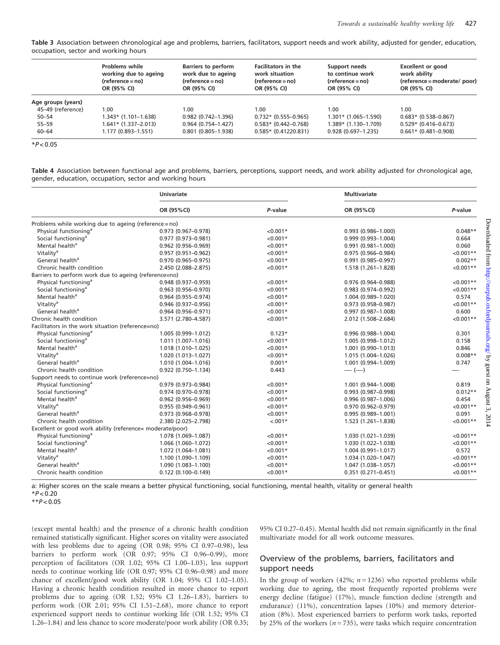Table 3 Association between chronological age and problems, barriers, facilitators, support needs and work ability, adjusted for gender, education, occupation, sector and working hours

|                    | <b>Problems while</b><br>working due to ageing<br>$(reference = no)$<br>OR (95% CI) | <b>Barriers to perform</b><br>work due to ageing<br>$(reference = no)$<br>OR (95% CI) | <b>Facilitators in the</b><br>work situation<br>$(reference = no)$<br>OR (95% CI) | Support needs<br>to continue work<br>$(reference = no)$<br>OR (95% CI) | <b>Excellent or good</b><br>work ability<br>(reference = moderate/ poor)<br>OR (95% CI) |
|--------------------|-------------------------------------------------------------------------------------|---------------------------------------------------------------------------------------|-----------------------------------------------------------------------------------|------------------------------------------------------------------------|-----------------------------------------------------------------------------------------|
| Age groups (years) |                                                                                     |                                                                                       |                                                                                   |                                                                        |                                                                                         |
| 45-49 (reference)  | 1.00                                                                                | 1.00                                                                                  | 1.00                                                                              | 1.00                                                                   | 1.00                                                                                    |
| $50 - 54$          | I.343* (1.101–1.638)                                                                | $0.982(0.742 - 1.396)$                                                                | $0.732*$ (0.555-0.965)                                                            | 1.301* (1.065–1.590)                                                   | $0.683*$ (0.538-0.867)                                                                  |
| $55 - 59$          | 1.641* (1.337–2.013)                                                                | $0.964(0.754 - 1.427)$                                                                | $0.583*$ (0.442-0.768)                                                            | $1.389*$ (1.130-1.709)                                                 | $0.529* (0.416 - 0.673)$                                                                |
| $60 - 64$          | 1.177 (0.893-1.551)                                                                 | $0.801$ (0.805-1.938)                                                                 | $0.585*$ (0.41220.831)                                                            | $0.928(0.697 - 1.235)$                                                 | $0.661*$ (0.481-0.908)                                                                  |

 $*P < 0.05$ 

Table 4 Association between functional age and problems, barriers, perceptions, support needs, and work ability adjusted for chronological age, gender, education, occupation, sector and working hours

|                                                           | <b>Univariate</b>      |            | <b>Multivariate</b>    |             |  |
|-----------------------------------------------------------|------------------------|------------|------------------------|-------------|--|
|                                                           | OR (95%CI)             | P-value    | OR (95%CI)             | P-value     |  |
| Problems while working due to ageing (reference = no)     |                        |            |                        |             |  |
| Physical functioning <sup>a</sup>                         | 0.973 (0.967-0.978)    | $< 0.001*$ | 0.993 (0.986-1.000)    | $0.048**$   |  |
| Social functioning <sup>a</sup>                           | 0.977 (0.973-0.981)    | $< 0.001*$ | 0.999 (0.993-1.004)    | 0.664       |  |
| Mental health <sup>a</sup>                                | $0.962$ (0.956-0.969)  | $< 0.001*$ | $0.991(0.981 - 1.000)$ | 0.060       |  |
| Vitalitv <sup>a</sup>                                     | $0.957(0.951 - 0.962)$ | $< 0.001*$ | 0.975 (0.966-0.984)    | $<0.001**$  |  |
| General health <sup>ª</sup>                               | $0.970(0.965 - 0.975)$ | $< 0.001*$ | $0.991(0.985 - 0.997)$ | $0.002**$   |  |
| Chronic health condition                                  | 2.450 (2.088-2.875)    | $< 0.001*$ | 1.518 (1.261-1.828)    | $< 0.001**$ |  |
| Barriers to perform work due to ageing (reference=no)     |                        |            |                        |             |  |
| Physical functioning <sup>a</sup>                         | $0.948$ (0.937-0.959)  | $< 0.001*$ | 0.976 (0.964-0.988)    | $<0.001**$  |  |
| Social functioning <sup>a</sup>                           | $0.963$ (0.956-0.970)  | $< 0.001*$ | 0.983 (0.974-0.992)    | $<0.001**$  |  |
| Mental health <sup>a</sup>                                | $0.964$ (0.955-0.974)  | $< 0.001*$ | 1.004 (0.989-1.020)    | 0.574       |  |
| Vitality <sup>a</sup>                                     | $0.946$ (0.937-0.956)  | $< 0.001*$ | $0.973(0.958 - 0.987)$ | $<0.001**$  |  |
| General health <sup>ª</sup>                               | $0.964(0.956 - 0.971)$ | $< 0.001*$ | 0.997 (0.987-1.008)    | 0.600       |  |
| Chronic health condition                                  | 3.571 (2.780-4.587)    | $< 0.001*$ | 2.012 (1.508-2.684)    | $< 0.001**$ |  |
| Facilitators in the work situation (reference=no)         |                        |            |                        |             |  |
| Physical functioning <sup>a</sup>                         | 1.005 (0.999-1.012)    | $0.123*$   | 0.996 (0.988-1.004)    | 0.301       |  |
| Social functioning <sup>a</sup>                           | 1.011 (1.007-1.016)    | $< 0.001*$ | 1.005 (0.998-1.012)    | 0.158       |  |
| Mental health <sup>a</sup>                                | 1.018 (1.010-1.025)    | $< 0.001*$ | 1.001 (0.990-1.013)    | 0.846       |  |
| Vitality <sup>a</sup>                                     | 1.020 (1.013-1.027)    | $< 0.001*$ | 1.015 (1.004-1.026)    | $0.008**$   |  |
| General health <sup>ª</sup>                               | 1.010 (1.004-1.016)    | $0.001*$   | 1.001 (0.994-1.009)    | 0.747       |  |
| Chronic health condition                                  | 0.922 (0.750-1.134)    | 0.443      | $-(-)$                 |             |  |
| Support needs to continue work (reference=no)             |                        |            |                        |             |  |
| Physical functioning <sup>a</sup>                         | 0.979 (0.973-0.984)    | $< 0.001*$ | 1.001 (0.944-1.008)    | 0.819       |  |
| Social functioning <sup>a</sup>                           | 0.974 (0.970-0.978)    | $< 0.001*$ | 0.993 (0.987-0.998)    | $0.012**$   |  |
| Mental health <sup>a</sup>                                | $0.962$ (0.956-0.969)  | $< 0.001*$ | 0.996 (0.987-1.006)    | 0.454       |  |
| Vitality <sup>a</sup>                                     | $0.955(0.949 - 0.961)$ | $< 0.001*$ | 0.970 (0.962-0.979)    | $<0.001**$  |  |
| General health <sup>a</sup>                               | 0.973 (0.968-0.978)    | $< 0.001*$ | $0.995(0.989 - 1.001)$ | 0.091       |  |
| Chronic health condition                                  | 2.380 (2.025-2.798)    | $< .001*$  | 1.523 (1.261-1.838)    | $< 0.001**$ |  |
| Excellent or good work ability (reference= moderate/poor) |                        |            |                        |             |  |
| Physical functioning <sup>a</sup>                         | 1.078 (1.069-1.087)    | $< 0.001*$ | 1.030 (1.021-1.039)    | $<0.001**$  |  |
| Social functioning <sup>a</sup>                           | 1.066 (1.060-1.072)    | $< 0.001*$ | 1.030 (1.022-1.038)    | $<0.001**$  |  |
| Mental health <sup>a</sup>                                | 1.072 (1.064-1.081)    | $< 0.001*$ | 1.004 (0.991-1.017)    | 0.572       |  |
| Vitality <sup>a</sup>                                     | 1.100 (1.090-1.109)    | $< 0.001*$ | 1.034 (1.020-1.047)    | $< 0.001**$ |  |
| General health <sup>a</sup>                               | 1.090 (1.083-1.100)    | $< 0.001*$ | 1.047 (1.038-1.057)    | $< 0.001**$ |  |
| Chronic health condition                                  | $0.122(0.100 - 0.149)$ | $< 0.001*$ | $0.351(0.271 - 0.451)$ | $< 0.001**$ |  |

a: Higher scores on the scale means a better physical functioning, social functioning, mental health, vitality or general health  $*P < 0.20$ 

 $*$  $*$  $P$  < 0.05

(except mental health) and the presence of a chronic health condition remained statistically significant. Higher scores on vitality were associated with less problems due to ageing (OR 0.98; 95% CI 0.97–0.98), less barriers to perform work (OR 0.97; 95% CI 0.96–0.99), more perception of facilitators (OR 1.02; 95% CI 1.00–1.03), less support needs to continue working life (OR 0.97; 95% CI 0.96–0.98) and more chance of excellent/good work ability (OR 1.04; 95% CI 1.02–1.05). Having a chronic health condition resulted in more chance to report problems due to ageing (OR 1.52; 95% CI 1.26–1.83), barriers to perform work (OR 2.01; 95% CI 1.51–2.68), more chance to report experienced support needs to continue working life (OR 1.52; 95% CI 1.26–1.84) and less chance to score moderate/poor work ability (OR 0.35;

95% CI 0.27–0.45). Mental health did not remain significantly in the final multivariate model for all work outcome measures.

### Overview of the problems, barriers, facilitators and support needs

In the group of workers (42%;  $n = 1236$ ) who reported problems while working due to ageing, the most frequently reported problems were energy decline (fatigue) (17%), muscle function decline (strength and endurance) (11%), concentration lapses (10%) and memory deterioration (8%). Most experienced barriers to perform work tasks, reported by 25% of the workers ( $n = 735$ ), were tasks which require concentration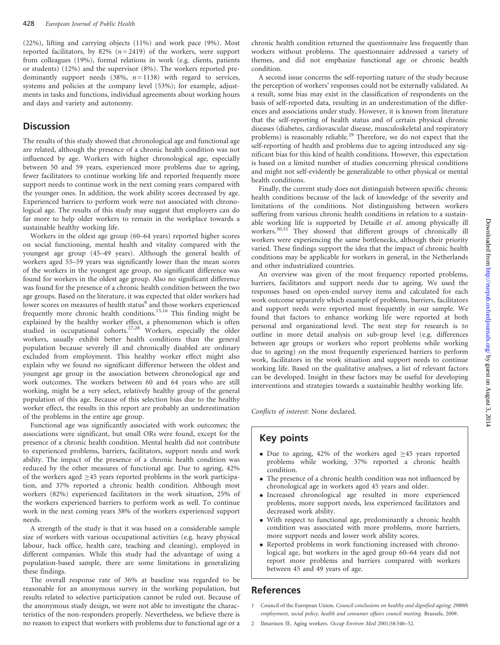(22%), lifting and carrying objects (11%) and work pace (9%). Most reported facilitators, by 82% ( $n = 2419$ ) of the workers, were support from colleagues (19%), formal relations in work (e.g. clients, patients or students) (12%) and the supervisor (8%). The workers reported predominantly support needs (38%,  $n = 1138$ ) with regard to services, systems and policies at the company level (53%); for example, adjustments in tasks and functions, individual agreements about working hours and days and variety and autonomy.

## **Discussion**

The results of this study showed that chronological age and functional age are related, although the presence of a chronic health condition was not influenced by age. Workers with higher chronological age, especially between 50 and 59 years, experienced more problems due to ageing, fewer facilitators to continue working life and reported frequently more support needs to continue work in the next coming years compared with the younger ones. In addition, the work ability scores decreased by age. Experienced barriers to perform work were not associated with chronological age. The results of this study may suggest that employers can do far more to help older workers to remain in the workplace towards a sustainable healthy working life.

Workers in the oldest age group (60–64 years) reported higher scores on social functioning, mental health and vitality compared with the youngest age group (45–49 years). Although the general health of workers aged 55–59 years was significantly lower than the mean scores of the workers in the youngest age group, no significant difference was found for workers in the oldest age group. Also no significant difference was found for the presence of a chronic health condition between the two age groups. Based on the literature, it was expected that older workers had lower scores on measures of health status<sup>6</sup> and those workers experienced frequently more chronic health conditions.[15](#page--1-0),[16](#page--1-0) This finding might be explained by the healthy worker effect, a phenomenon which is often studied in occupational cohorts.<sup>[27](#page--1-0),[28](#page--1-0)</sup> Workers, especially the older workers, usually exhibit better health conditions than the general population because severely ill and chronically disabled are ordinary excluded from employment. This healthy worker effect might also explain why we found no significant difference between the oldest and youngest age group in the association between chronological age and work outcomes. The workers between 60 and 64 years who are still working, might be a very select, relatively healthy group of the general population of this age. Because of this selection bias due to the healthy worker effect, the results in this report are probably an underestimation of the problems in the entire age group.

Functional age was significantly associated with work outcomes; the associations were significant, but small ORs were found, except for the presence of a chronic health condition. Mental health did not contribute to experienced problems, barriers, facilitators, support needs and work ability. The impact of the presence of a chronic health condition was reduced by the other measures of functional age. Due to ageing, 42% of the workers aged  $\geq$ 45 years reported problems in the work participation, and 37% reported a chronic health condition. Although most workers (82%) experienced facilitators in the work situation, 25% of the workers experienced barriers to perform work as well. To continue work in the next coming years 38% of the workers experienced support needs.

A strength of the study is that it was based on a considerable sample size of workers with various occupational activities (e.g. heavy physical labour, back office, health care, teaching and cleaning), employed in different companies. While this study had the advantage of using a population-based sample, there are some limitations in generalizing these findings.

The overall response rate of 36% at baseline was regarded to be reasonable for an anonymous survey in the working population, but results related to selective participation cannot be ruled out. Because of the anonymous study design, we were not able to investigate the characteristics of the non-responders properly. Nevertheless, we believe there is no reason to expect that workers with problems due to functional age or a

chronic health condition returned the questionnaire less frequently than workers without problems. The questionnaire addressed a variety of themes, and did not emphasize functional age or chronic health condition.

A second issue concerns the self-reporting nature of the study because the perception of workers' responses could not be externally validated. As a result, some bias may exist in the classification of respondents on the basis of self-reported data, resulting in an underestimation of the differences and associations under study. However, it is known from literature that the self-reporting of health status and of certain physical chronic diseases (diabetes, cardiovascular disease, musculoskeletal and respiratory problems) is reasonably reliable.<sup>[29](#page--1-0)</sup> Therefore, we do not expect that the self-reporting of health and problems due to ageing introduced any significant bias for this kind of health conditions. However, this expectation is based on a limited number of studies concerning physical conditions and might not self-evidently be generalizable to other physical or mental health conditions.

Finally, the current study does not distinguish between specific chronic health conditions because of the lack of knowledge of the severity and limitations of the conditions. Not distinguishing between workers suffering from various chronic health conditions in relation to a sustainable working life is supported by Detaille et al. among physically ill workers.<sup>[30](#page--1-0),[31](#page--1-0)</sup> They showed that different groups of chronically ill workers were experiencing the same bottlenecks, although their priority varied. These findings support the idea that the impact of chronic health conditions may be applicable for workers in general, in the Netherlands and other industrialized countries.

An overview was given of the most frequency reported problems, barriers, facilitators and support needs due to ageing. We used the responses based on open-ended survey items and calculated for each work outcome separately which example of problems, barriers, facilitators and support needs were reported most frequently in our sample. We found that factors to enhance working life were reported at both personal and organizational level. The next step for research is to outline in more detail analysis on sub-group level (e.g. differences between age groups or workers who report problems while working due to ageing) on the most frequently experienced barriers to perform work, facilitators in the work situation and support needs to continue working life. Based on the qualitative analyses, a list of relevant factors can be developed. Insight in these factors may be useful for developing interventions and strategies towards a sustainable healthy working life.

Conflicts of interest: None declared.

# Key points

- Due to ageing, 42% of the workers aged  $\geq$ 45 years reported problems while working, 37% reported a chronic health condition.
- The presence of a chronic health condition was not influenced by chronological age in workers aged 45 years and older.
- Increased chronological age resulted in more experienced problems, more support needs, less experienced facilitators and decreased work ability.
- With respect to functional age, predominantly a chronic health condition was associated with more problems, more barriers, more support needs and lower work ability scores.
- Reported problems in work functioning increased with chronological age, but workers in the aged group 60–64 years did not report more problems and barriers compared with workers between 45 and 49 years of age.

## References

1 Council of the European Union. Council conclusions on healthy and dignified ageing; 2980th employment, social policy, health and consumer affairs council meeting. Brussels, 2009.

2 Ilmarinen JE. Aging workers. Occup Environ Med 2001;58:546–52.